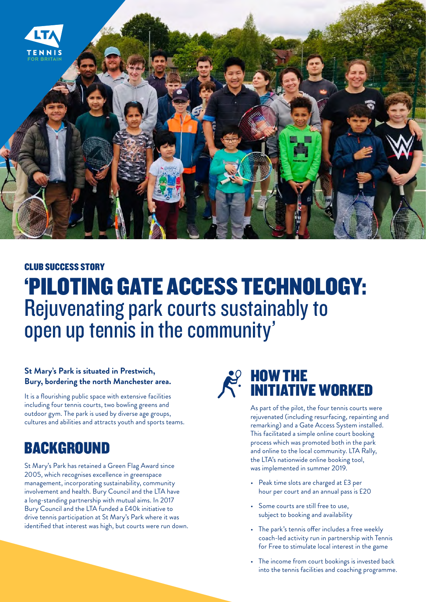

#### CLUB SUCCESS STORY

# 'PILOTING GATE ACCESS TECHNOLOGY: Rejuvenating park courts sustainably to open up tennis in the community'

#### **St Mary's Park is situated in Prestwich, Bury, bordering the north Manchester area.**

It is a flourishing public space with extensive facilities including four tennis courts, two bowling greens and outdoor gym. The park is used by diverse age groups, cultures and abilities and attracts youth and sports teams.

### BACKGROUND

St Mary's Park has retained a Green Flag Award since 2005, which recognises excellence in greenspace management, incorporating sustainability, community involvement and health. Bury Council and the LTA have a long-standing partnership with mutual aims. In 2017 Bury Council and the LTA funded a £40k initiative to drive tennis participation at St Mary's Park where it was identified that interest was high, but courts were run down.



As part of the pilot, the four tennis courts were rejuvenated (including resurfacing, repainting and remarking) and a Gate Access System installed. This facilitated a simple online court booking process which was promoted both in the park and online to the local community. LTA Rally, the LTA's nationwide online booking tool, was implemented in summer 2019.

- Peak time slots are charged at £3 per hour per court and an annual pass is £20
- Some courts are still free to use, subject to booking and availability
- The park's tennis offer includes a free weekly coach-led activity run in partnership with Tennis for Free to stimulate local interest in the game
- The income from court bookings is invested back into the tennis facilities and coaching programme.